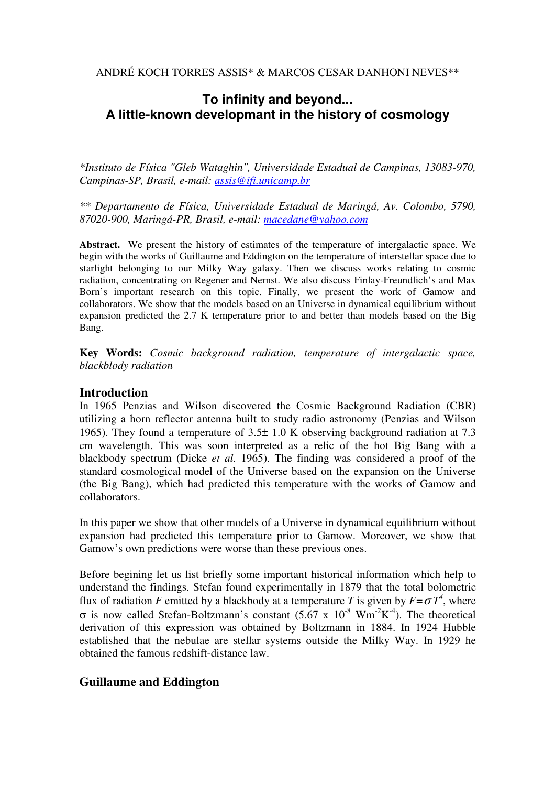ANDRÉ KOCH TORRES ASSIS\* & MARCOS CESAR DANHONI NEVES\*\*

# **To infinity and beyond... A little-known developmant in the history of cosmology**

*\*Instituto de Física "Gleb Wataghin", Universidade Estadual de Campinas, 13083-970, Campinas-SP, Brasil, e-mail: assis@ifi.unicamp.br*

*\*\* Departamento de Física, Universidade Estadual de Maringá, Av. Colombo, 5790, 87020-900, Maringá-PR, Brasil, e-mail: macedane@yahoo.com*

**Abstract.** We present the history of estimates of the temperature of intergalactic space. We begin with the works of Guillaume and Eddington on the temperature of interstellar space due to starlight belonging to our Milky Way galaxy. Then we discuss works relating to cosmic radiation, concentrating on Regener and Nernst. We also discuss Finlay-Freundlich's and Max Born's important research on this topic. Finally, we present the work of Gamow and collaborators. We show that the models based on an Universe in dynamical equilibrium without expansion predicted the 2.7 K temperature prior to and better than models based on the Big Bang.

**Key Words:** *Cosmic background radiation, temperature of intergalactic space, blackblody radiation*

## **Introduction**

In 1965 Penzias and Wilson discovered the Cosmic Background Radiation (CBR) utilizing a horn reflector antenna built to study radio astronomy (Penzias and Wilson 1965). They found a temperature of 3.5± 1.0 K observing background radiation at 7.3 cm wavelength. This was soon interpreted as a relic of the hot Big Bang with a blackbody spectrum (Dicke *et al.* 1965). The finding was considered a proof of the standard cosmological model of the Universe based on the expansion on the Universe (the Big Bang), which had predicted this temperature with the works of Gamow and collaborators.

In this paper we show that other models of a Universe in dynamical equilibrium without expansion had predicted this temperature prior to Gamow. Moreover, we show that Gamow's own predictions were worse than these previous ones.

Before begining let us list briefly some important historical information which help to understand the findings. Stefan found experimentally in 1879 that the total bolometric flux of radiation *F* emitted by a blackbody at a temperature *T* is given by  $F = \sigma T^4$ , where  $\sigma$  is now called Stefan-Boltzmann's constant (5.67 x 10<sup>-8</sup> Wm<sup>-2</sup>K<sup>-4</sup>). The theoretical derivation of this expression was obtained by Boltzmann in 1884. In 1924 Hubble established that the nebulae are stellar systems outside the Milky Way. In 1929 he obtained the famous redshift-distance law.

# **Guillaume and Eddington**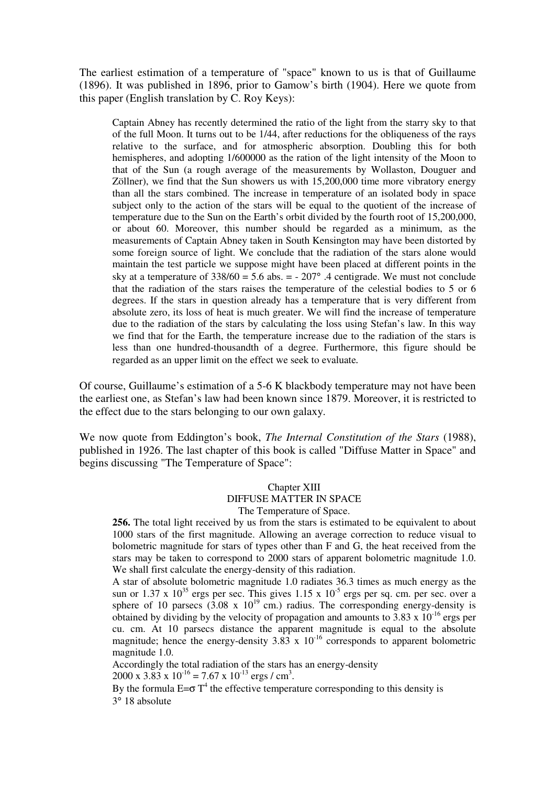The earliest estimation of a temperature of "space" known to us is that of Guillaume (1896). It was published in 1896, prior to Gamow's birth (1904). Here we quote from this paper (English translation by C. Roy Keys):

Captain Abney has recently determined the ratio of the light from the starry sky to that of the full Moon. It turns out to be 1/44, after reductions for the obliqueness of the rays relative to the surface, and for atmospheric absorption. Doubling this for both hemispheres, and adopting 1/600000 as the ration of the light intensity of the Moon to that of the Sun (a rough average of the measurements by Wollaston, Douguer and Zöllner), we find that the Sun showers us with 15,200,000 time more vibratory energy than all the stars combined. The increase in temperature of an isolated body in space subject only to the action of the stars will be equal to the quotient of the increase of temperature due to the Sun on the Earth's orbit divided by the fourth root of 15,200,000, or about 60. Moreover, this number should be regarded as a minimum, as the measurements of Captain Abney taken in South Kensington may have been distorted by some foreign source of light. We conclude that the radiation of the stars alone would maintain the test particle we suppose might have been placed at different points in the sky at a temperature of  $338/60 = 5.6$  abs.  $= -207^{\circ}$ . 4 centigrade. We must not conclude that the radiation of the stars raises the temperature of the celestial bodies to 5 or 6 degrees. If the stars in question already has a temperature that is very different from absolute zero, its loss of heat is much greater. We will find the increase of temperature due to the radiation of the stars by calculating the loss using Stefan's law. In this way we find that for the Earth, the temperature increase due to the radiation of the stars is less than one hundred-thousandth of a degree. Furthermore, this figure should be regarded as an upper limit on the effect we seek to evaluate*.*

Of course, Guillaume's estimation of a 5-6 K blackbody temperature may not have been the earliest one, as Stefan's law had been known since 1879. Moreover, it is restricted to the effect due to the stars belonging to our own galaxy.

We now quote from Eddington's book, *The Internal Constitution of the Stars* (1988), published in 1926. The last chapter of this book is called "Diffuse Matter in Space" and begins discussing "The Temperature of Space":

#### Chapter XIII DIFFUSE MATTER IN SPACE

The Temperature of Space.

**256.** The total light received by us from the stars is estimated to be equivalent to about 1000 stars of the first magnitude. Allowing an average correction to reduce visual to bolometric magnitude for stars of types other than F and G, the heat received from the stars may be taken to correspond to 2000 stars of apparent bolometric magnitude 1.0. We shall first calculate the energy-density of this radiation.

A star of absolute bolometric magnitude 1.0 radiates 36.3 times as much energy as the sun or  $1.37 \times 10^{35}$  ergs per sec. This gives  $1.15 \times 10^{-5}$  ergs per sq. cm. per sec. over a such a real matrix  $\frac{1}{2}$  represents  $\frac{1}{2}$  cm.) radius. The corresponding energy-density is obtained by dividing by the velocity of propagation and amounts to  $3.83 \times 10^{-16}$  ergs per cu. cm. At 10 parsecs distance the apparent magnitude is equal to the absolute magnitude; hence the energy-density  $3.83 \times 10^{-16}$  corresponds to apparent bolometric magnitude 1.0.

Accordingly the total radiation of the stars has an energy-density 2000 x 3.83 x  $10^{-16}$  = 7.67 x  $10^{-13}$  ergs / cm<sup>3</sup>.

By the formula  $E=\sigma T^4$  the effective temperature corresponding to this density is 3° 18 absolute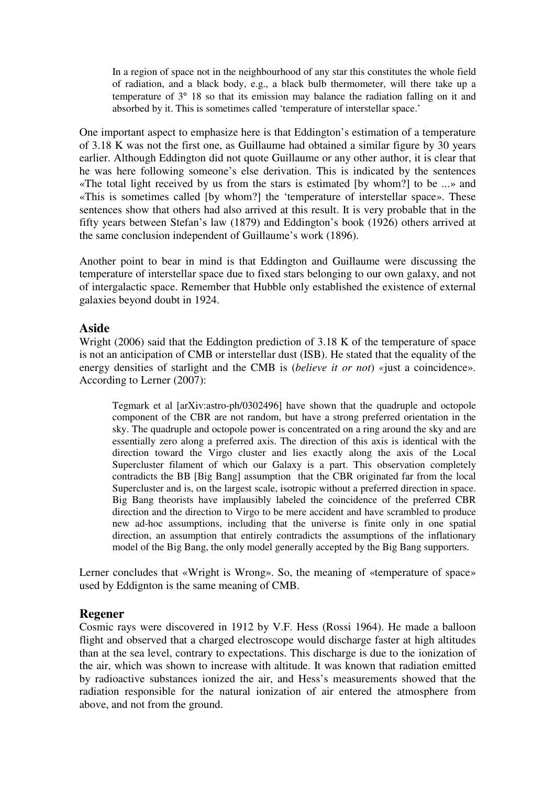In a region of space not in the neighbourhood of any star this constitutes the whole field of radiation, and a black body, e.g., a black bulb thermometer, will there take up a temperature of 3° 18 so that its emission may balance the radiation falling on it and absorbed by it. This is sometimes called 'temperature of interstellar space.'

One important aspect to emphasize here is that Eddington's estimation of a temperature of 3.18 K was not the first one, as Guillaume had obtained a similar figure by 30 years earlier. Although Eddington did not quote Guillaume or any other author, it is clear that he was here following someone's else derivation. This is indicated by the sentences «The total light received by us from the stars is estimated [by whom?] to be ...» and «This is sometimes called [by whom?] the 'temperature of interstellar space». These sentences show that others had also arrived at this result. It is very probable that in the fifty years between Stefan's law (1879) and Eddington's book (1926) others arrived at the same conclusion independent of Guillaume's work (1896).

Another point to bear in mind is that Eddington and Guillaume were discussing the temperature of interstellar space due to fixed stars belonging to our own galaxy, and not of intergalactic space. Remember that Hubble only established the existence of external galaxies beyond doubt in 1924.

### **Aside**

Wright (2006) said that the Eddington prediction of 3.18 K of the temperature of space is not an anticipation of CMB or interstellar dust (ISB). He stated that the equality of the energy densities of starlight and the CMB is (*believe it or not*) *«*just a coincidence». According to Lerner (2007):

Tegmark et al [arXiv:astro-ph/0302496] have shown that the quadruple and octopole component of the CBR are not random, but have a strong preferred orientation in the sky. The quadruple and octopole power is concentrated on a ring around the sky and are essentially zero along a preferred axis. The direction of this axis is identical with the direction toward the Virgo cluster and lies exactly along the axis of the Local Supercluster filament of which our Galaxy is a part. This observation completely contradicts the BB [Big Bang] assumption that the CBR originated far from the local Supercluster and is, on the largest scale, isotropic without a preferred direction in space. Big Bang theorists have implausibly labeled the coincidence of the preferred CBR direction and the direction to Virgo to be mere accident and have scrambled to produce new ad-hoc assumptions, including that the universe is finite only in one spatial direction, an assumption that entirely contradicts the assumptions of the inflationary model of the Big Bang, the only model generally accepted by the Big Bang supporters.

Lerner concludes that «Wright is Wrong». So, the meaning of «temperature of space» used by Eddignton is the same meaning of CMB.

# **Regener**

Cosmic rays were discovered in 1912 by V.F. Hess (Rossi 1964). He made a balloon flight and observed that a charged electroscope would discharge faster at high altitudes than at the sea level, contrary to expectations. This discharge is due to the ionization of the air, which was shown to increase with altitude. It was known that radiation emitted by radioactive substances ionized the air, and Hess's measurements showed that the radiation responsible for the natural ionization of air entered the atmosphere from above, and not from the ground.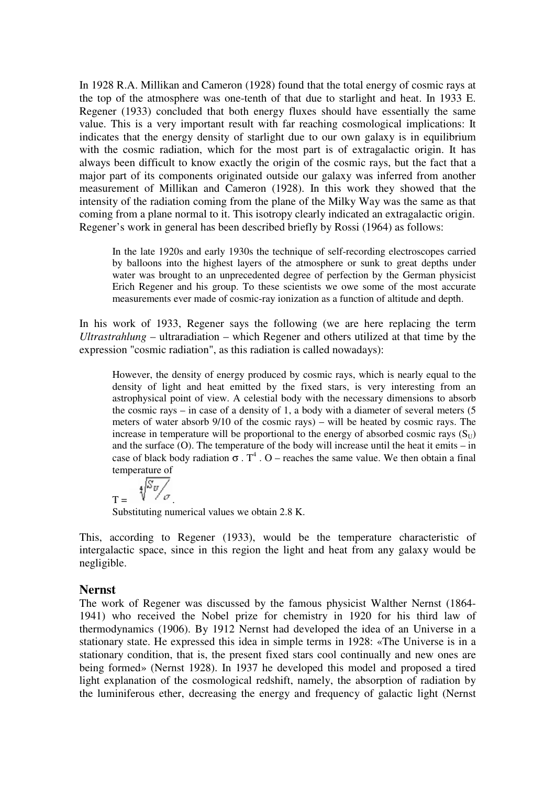In 1928 R.A. Millikan and Cameron (1928) found that the total energy of cosmic rays at the top of the atmosphere was one-tenth of that due to starlight and heat. In 1933 E. Regener (1933) concluded that both energy fluxes should have essentially the same value. This is a very important result with far reaching cosmological implications: It indicates that the energy density of starlight due to our own galaxy is in equilibrium with the cosmic radiation, which for the most part is of extragalactic origin. It has always been difficult to know exactly the origin of the cosmic rays, but the fact that a major part of its components originated outside our galaxy was inferred from another measurement of Millikan and Cameron (1928). In this work they showed that the intensity of the radiation coming from the plane of the Milky Way was the same as that coming from a plane normal to it. This isotropy clearly indicated an extragalactic origin. Regener's work in general has been described briefly by Rossi (1964) as follows:

In the late 1920s and early 1930s the technique of self-recording electroscopes carried by balloons into the highest layers of the atmosphere or sunk to great depths under water was brought to an unprecedented degree of perfection by the German physicist Erich Regener and his group. To these scientists we owe some of the most accurate measurements ever made of cosmic-ray ionization as a function of altitude and depth.

In his work of 1933, Regener says the following (we are here replacing the term *Ultrastrahlung* – ultraradiation – which Regener and others utilized at that time by the expression "cosmic radiation", as this radiation is called nowadays):

However, the density of energy produced by cosmic rays, which is nearly equal to the density of light and heat emitted by the fixed stars, is very interesting from an astrophysical point of view. A celestial body with the necessary dimensions to absorb the cosmic rays – in case of a density of 1, a body with a diameter of several meters (5 meters of water absorb 9/10 of the cosmic rays) – will be heated by cosmic rays. The increase in temperature will be proportional to the energy of absorbed cosmic rays  $(S_U)$ and the surface  $(0)$ . The temperature of the body will increase until the heat it emits – in case of black body radiation  $\sigma$ . T<sup>4</sup>. O – reaches the same value. We then obtain a final temperature of

$$
T = \sqrt[4]{\frac{S_v}{\sigma}}
$$

Substituting numerical values we obtain 2.8 K.

This, according to Regener (1933), would be the temperature characteristic of intergalactic space, since in this region the light and heat from any galaxy would be negligible.

#### **Nernst**

The work of Regener was discussed by the famous physicist Walther Nernst (1864- 1941) who received the Nobel prize for chemistry in 1920 for his third law of thermodynamics (1906). By 1912 Nernst had developed the idea of an Universe in a stationary state. He expressed this idea in simple terms in 1928: «The Universe is in a stationary condition, that is, the present fixed stars cool continually and new ones are being formed» (Nernst 1928). In 1937 he developed this model and proposed a tired light explanation of the cosmological redshift, namely, the absorption of radiation by the luminiferous ether, decreasing the energy and frequency of galactic light (Nernst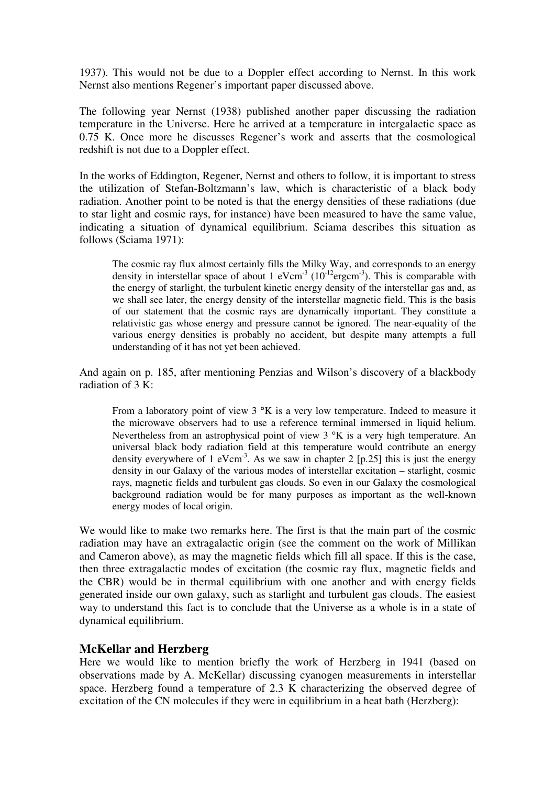1937). This would not be due to a Doppler effect according to Nernst. In this work Nernst also mentions Regener's important paper discussed above.

The following year Nernst (1938) published another paper discussing the radiation temperature in the Universe. Here he arrived at a temperature in intergalactic space as 0.75 K. Once more he discusses Regener's work and asserts that the cosmological redshift is not due to a Doppler effect.

In the works of Eddington, Regener, Nernst and others to follow, it is important to stress the utilization of Stefan-Boltzmann's law, which is characteristic of a black body radiation. Another point to be noted is that the energy densities of these radiations (due to star light and cosmic rays, for instance) have been measured to have the same value, indicating a situation of dynamical equilibrium. Sciama describes this situation as follows (Sciama 1971):

The cosmic ray flux almost certainly fills the Milky Way, and corresponds to an energy density in interstellar space of about 1 eVcm<sup>-3</sup> ( $10^{-12}$ ergcm<sup>-3</sup>). This is comparable with the energy of starlight, the turbulent kinetic energy density of the interstellar gas and, as we shall see later, the energy density of the interstellar magnetic field. This is the basis of our statement that the cosmic rays are dynamically important. They constitute a relativistic gas whose energy and pressure cannot be ignored. The near-equality of the various energy densities is probably no accident, but despite many attempts a full understanding of it has not yet been achieved.

And again on p. 185, after mentioning Penzias and Wilson's discovery of a blackbody radiation of 3 K:

From a laboratory point of view  $3 \text{°K}$  is a very low temperature. Indeed to measure it the microwave observers had to use a reference terminal immersed in liquid helium. Nevertheless from an astrophysical point of view 3  $\,^{\circ}$ K is a very high temperature. An universal black body radiation field at this temperature would contribute an energy density everywhere of 1 eVcm<sup>-3</sup>. As we saw in chapter 2 [p.25] this is just the energy density in our Galaxy of the various modes of interstellar excitation – starlight, cosmic rays, magnetic fields and turbulent gas clouds. So even in our Galaxy the cosmological background radiation would be for many purposes as important as the well-known energy modes of local origin.

We would like to make two remarks here. The first is that the main part of the cosmic radiation may have an extragalactic origin (see the comment on the work of Millikan and Cameron above), as may the magnetic fields which fill all space. If this is the case, then three extragalactic modes of excitation (the cosmic ray flux, magnetic fields and the CBR) would be in thermal equilibrium with one another and with energy fields generated inside our own galaxy, such as starlight and turbulent gas clouds. The easiest way to understand this fact is to conclude that the Universe as a whole is in a state of dynamical equilibrium.

# **McKellar and Herzberg**

Here we would like to mention briefly the work of Herzberg in 1941 (based on observations made by A. McKellar) discussing cyanogen measurements in interstellar space. Herzberg found a temperature of 2.3 K characterizing the observed degree of excitation of the CN molecules if they were in equilibrium in a heat bath (Herzberg):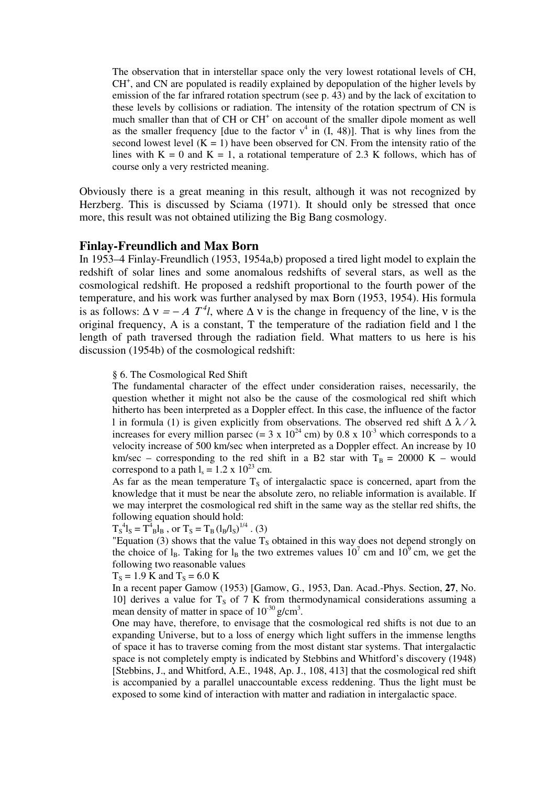The observation that in interstellar space only the very lowest rotational levels of CH, CH<sup>+</sup>, and CN are populated is readily explained by depopulation of the higher levels by emission of the far infrared rotation spectrum (see p. 43) and by the lack of excitation to these levels by collisions or radiation. The intensity of the rotation spectrum of CN is much smaller than that of CH or CH<sup>+</sup> on account of the smaller dipole moment as well as the smaller frequency [due to the factor  $v^4$  in (I, 48)]. That is why lines from the second lowest level  $(K = 1)$  have been observed for CN. From the intensity ratio of the lines with  $K = 0$  and  $K = 1$ , a rotational temperature of 2.3 K follows, which has of course only a very restricted meaning.

Obviously there is a great meaning in this result, although it was not recognized by Herzberg. This is discussed by Sciama (1971). It should only be stressed that once more, this result was not obtained utilizing the Big Bang cosmology.

### **Finlay-Freundlich and Max Born**

In 1953–4 Finlay-Freundlich (1953, 1954a,b) proposed a tired light model to explain the redshift of solar lines and some anomalous redshifts of several stars, as well as the cosmological redshift. He proposed a redshift proportional to the fourth power of the temperature, and his work was further analysed by max Born (1953, 1954). His formula is as follows:  $\Delta v = -A T^4 l$ , where  $\Delta v$  is the change in frequency of the line, v is the original frequency, A is a constant, T the temperature of the radiation field and l the length of path traversed through the radiation field. What matters to us here is his discussion (1954b) of the cosmological redshift:

#### § 6. The Cosmological Red Shift

The fundamental character of the effect under consideration raises, necessarily, the question whether it might not also be the cause of the cosmological red shift which hitherto has been interpreted as a Doppler effect. In this case, the influence of the factor l in formula (1) is given explicitly from observations. The observed red shift  $\Delta \lambda / \lambda$ increases for every million parsec (= 3 x  $10^{24}$  cm) by 0.8 x  $10^{-3}$  which corresponds to a velocity increase of 500 km/sec when interpreted as a Doppler effect. An increase by 10 km/sec – corresponding to the red shift in a B2 star with  $T_B = 20000 \text{ K}$  – would correspond to a path  $l_s = 1.2 \times 10^{23}$  cm.

As far as the mean temperature  $T<sub>s</sub>$  of intergalactic space is concerned, apart from the knowledge that it must be near the absolute zero, no reliable information is available. If we may interpret the cosmological red shift in the same way as the stellar red shifts, the following equation should hold:

### $T_S^4 l_S = T_A^4 l_B$ , or  $T_S = T_B (l_B/l_S)^{1/4}$ . (3)

"Equation (3) shows that the value  $T_s$  obtained in this way does not depend strongly on the choice of  $l_B$ . Taking for  $l_B$  the two extremes values  $10^7$  cm and  $10^9$  cm, we get the following two reasonable values

#### $T_s = 1.9$  K and  $T_s = 6.0$  K

In a recent paper Gamow (1953) [Gamow, G., 1953, Dan. Acad.-Phys. Section, **27**, No. 10] derives a value for  $T<sub>S</sub>$  of 7 K from thermodynamical considerations assuming a mean density of matter in space of  $10^{-30}$  g/cm<sup>3</sup>.

One may have, therefore, to envisage that the cosmological red shifts is not due to an expanding Universe, but to a loss of energy which light suffers in the immense lengths of space it has to traverse coming from the most distant star systems. That intergalactic space is not completely empty is indicated by Stebbins and Whitford's discovery (1948) [Stebbins, J., and Whitford, A.E., 1948, Ap. J., 108, 413] that the cosmological red shift is accompanied by a parallel unaccountable excess reddening. Thus the light must be exposed to some kind of interaction with matter and radiation in intergalactic space.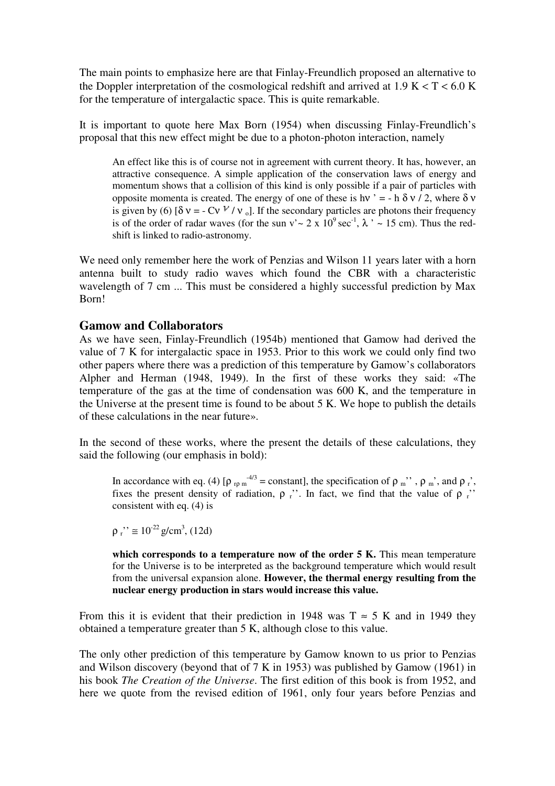The main points to emphasize here are that Finlay-Freundlich proposed an alternative to the Doppler interpretation of the cosmological redshift and arrived at  $1.9 K < T < 6.0 K$ for the temperature of intergalactic space. This is quite remarkable.

It is important to quote here Max Born (1954) when discussing Finlay-Freundlich's proposal that this new effect might be due to a photon-photon interaction, namely

An effect like this is of course not in agreement with current theory. It has, however, an attractive consequence. A simple application of the conservation laws of energy and momentum shows that a collision of this kind is only possible if a pair of particles with opposite momenta is created. The energy of one of these is hν ' = - h  $\delta$  ν / 2, where  $\delta$  ν is given by (6)  $\delta v = -CV V/v_0$ . If the secondary particles are photons their frequency is of the order of radar waves (for the sun v' ~ 2 x  $10^9$  sec<sup>-1</sup>,  $\lambda$  ' ~ 15 cm). Thus the redshift is linked to radio-astronomy.

We need only remember here the work of Penzias and Wilson 11 years later with a horn antenna built to study radio waves which found the CBR with a characteristic wavelength of 7 cm ... This must be considered a highly successful prediction by Max Born!

### **Gamow and Collaborators**

As we have seen, Finlay-Freundlich (1954b) mentioned that Gamow had derived the value of 7 K for intergalactic space in 1953. Prior to this work we could only find two other papers where there was a prediction of this temperature by Gamow's collaborators Alpher and Herman (1948, 1949). In the first of these works they said: «The temperature of the gas at the time of condensation was 600 K, and the temperature in the Universe at the present time is found to be about 5 K. We hope to publish the details of these calculations in the near future».

In the second of these works, where the present the details of these calculations, they said the following (our emphasis in bold):

In accordance with eq. (4) [ $\rho_{\rm rp}$   $m^{4/3}$  = constant], the specification of  $\rho_{m}$ ",  $\rho_{m}$ ", and  $\rho_{r}$ ", fixes the present density of radiation,  $\rho$  r. In fact, we find that the value of  $\rho$  r. consistent with eq. (4) is

 $\rho_r$ "  $\approx 10^{-22}$  g/cm<sup>3</sup>, (12d)

which corresponds to a temperature now of the order 5 K. This mean temperature for the Universe is to be interpreted as the background temperature which would result from the universal expansion alone. **However, the thermal energy resulting from the nuclear energy production in stars would increase this value.**

From this it is evident that their prediction in 1948 was  $T \approx 5$  K and in 1949 they obtained a temperature greater than 5 K, although close to this value.

The only other prediction of this temperature by Gamow known to us prior to Penzias and Wilson discovery (beyond that of 7 K in 1953) was published by Gamow (1961) in his book *The Creation of the Universe*. The first edition of this book is from 1952, and here we quote from the revised edition of 1961, only four years before Penzias and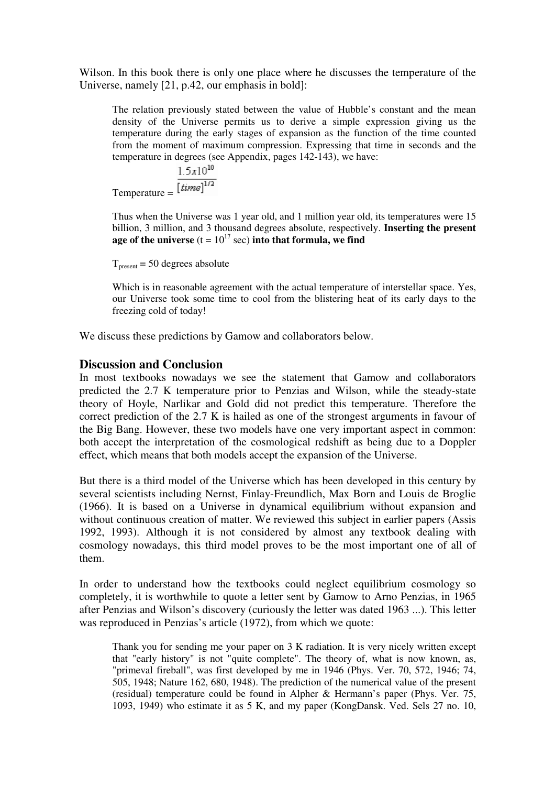Wilson. In this book there is only one place where he discusses the temperature of the Universe, namely [21, p.42, our emphasis in bold]:

The relation previously stated between the value of Hubble's constant and the mean density of the Universe permits us to derive a simple expression giving us the temperature during the early stages of expansion as the function of the time counted from the moment of maximum compression. Expressing that time in seconds and the temperature in degrees (see Appendix, pages 142-143), we have:

 $1.5x10^{10}$ Temperature =  $\sqrt{\left[time\right]^{1/2}}$ 

Thus when the Universe was 1 year old, and 1 million year old, its temperatures were 15 billion, 3 million, and 3 thousand degrees absolute, respectively. **Inserting the present age of the universe**  $(t = 10^{17} \text{ sec})$  into that formula, we find

 $T_{\text{present}}$  = 50 degrees absolute

Which is in reasonable agreement with the actual temperature of interstellar space. Yes, our Universe took some time to cool from the blistering heat of its early days to the freezing cold of today!

We discuss these predictions by Gamow and collaborators below.

### **Discussion and Conclusion**

In most textbooks nowadays we see the statement that Gamow and collaborators predicted the 2.7 K temperature prior to Penzias and Wilson, while the steady-state theory of Hoyle, Narlikar and Gold did not predict this temperature. Therefore the correct prediction of the 2.7 K is hailed as one of the strongest arguments in favour of the Big Bang. However, these two models have one very important aspect in common: both accept the interpretation of the cosmological redshift as being due to a Doppler effect, which means that both models accept the expansion of the Universe.

But there is a third model of the Universe which has been developed in this century by several scientists including Nernst, Finlay-Freundlich, Max Born and Louis de Broglie (1966). It is based on a Universe in dynamical equilibrium without expansion and without continuous creation of matter. We reviewed this subject in earlier papers (Assis 1992, 1993). Although it is not considered by almost any textbook dealing with cosmology nowadays, this third model proves to be the most important one of all of them.

In order to understand how the textbooks could neglect equilibrium cosmology so completely, it is worthwhile to quote a letter sent by Gamow to Arno Penzias, in 1965 after Penzias and Wilson's discovery (curiously the letter was dated 1963 ...). This letter was reproduced in Penzias's article (1972), from which we quote:

Thank you for sending me your paper on 3 K radiation. It is very nicely written except that "early history" is not "quite complete". The theory of, what is now known, as, "primeval fireball", was first developed by me in 1946 (Phys. Ver. 70, 572, 1946; 74, 505, 1948; Nature 162, 680, 1948). The prediction of the numerical value of the present (residual) temperature could be found in Alpher & Hermann's paper (Phys. Ver. 75, 1093, 1949) who estimate it as 5 K, and my paper (KongDansk. Ved. Sels 27 no. 10,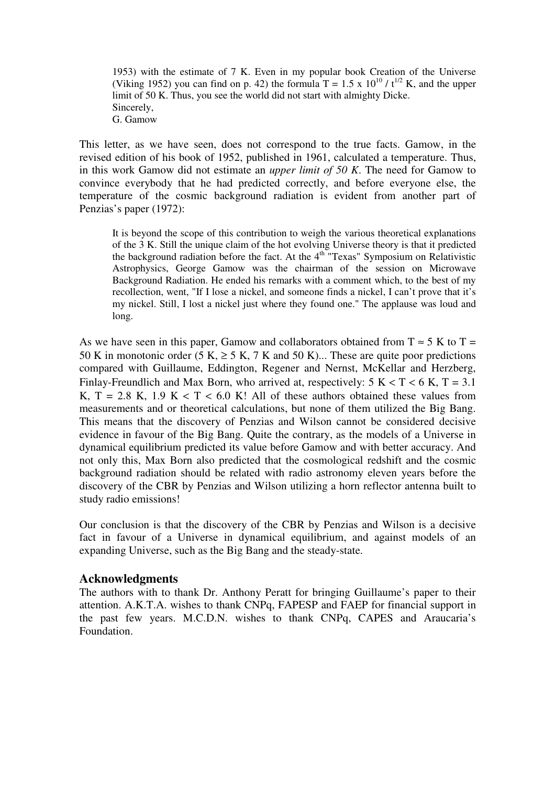1953) with the estimate of 7 K. Even in my popular book Creation of the Universe (Viking 1952) you can find on p. 42) the formula  $T = 1.5 \times 10^{10} / t^{1/2}$  K, and the upper limit of 50 K. Thus, you see the world did not start with almighty Dicke. Sincerely, G. Gamow

This letter, as we have seen, does not correspond to the true facts. Gamow, in the revised edition of his book of 1952, published in 1961, calculated a temperature. Thus, in this work Gamow did not estimate an *upper limit of 50 K*. The need for Gamow to convince everybody that he had predicted correctly, and before everyone else, the temperature of the cosmic background radiation is evident from another part of Penzias's paper (1972):

It is beyond the scope of this contribution to weigh the various theoretical explanations of the 3 K. Still the unique claim of the hot evolving Universe theory is that it predicted the background radiation before the fact. At the  $4<sup>th</sup>$  "Texas" Symposium on Relativistic Astrophysics, George Gamow was the chairman of the session on Microwave Background Radiation. He ended his remarks with a comment which, to the best of my recollection, went, "If I lose a nickel, and someone finds a nickel, I can't prove that it's my nickel. Still, I lost a nickel just where they found one." The applause was loud and long.

As we have seen in this paper, Gamow and collaborators obtained from  $T \approx 5$  K to T = 50 K in monotonic order (5 K,  $\geq$  5 K, 7 K and 50 K)... These are quite poor predictions compared with Guillaume, Eddington, Regener and Nernst, McKellar and Herzberg, Finlay-Freundlich and Max Born, who arrived at, respectively:  $5 K < T < 6 K$ ,  $T = 3.1$ K,  $T = 2.8$  K, 1.9 K < T < 6.0 K! All of these authors obtained these values from measurements and or theoretical calculations, but none of them utilized the Big Bang. This means that the discovery of Penzias and Wilson cannot be considered decisive evidence in favour of the Big Bang. Quite the contrary, as the models of a Universe in dynamical equilibrium predicted its value before Gamow and with better accuracy. And not only this, Max Born also predicted that the cosmological redshift and the cosmic background radiation should be related with radio astronomy eleven years before the discovery of the CBR by Penzias and Wilson utilizing a horn reflector antenna built to study radio emissions!

Our conclusion is that the discovery of the CBR by Penzias and Wilson is a decisive fact in favour of a Universe in dynamical equilibrium, and against models of an expanding Universe, such as the Big Bang and the steady-state.

# **Acknowledgments**

The authors with to thank Dr. Anthony Peratt for bringing Guillaume's paper to their attention. A.K.T.A. wishes to thank CNPq, FAPESP and FAEP for financial support in the past few years. M.C.D.N. wishes to thank CNPq, CAPES and Araucaria's Foundation.